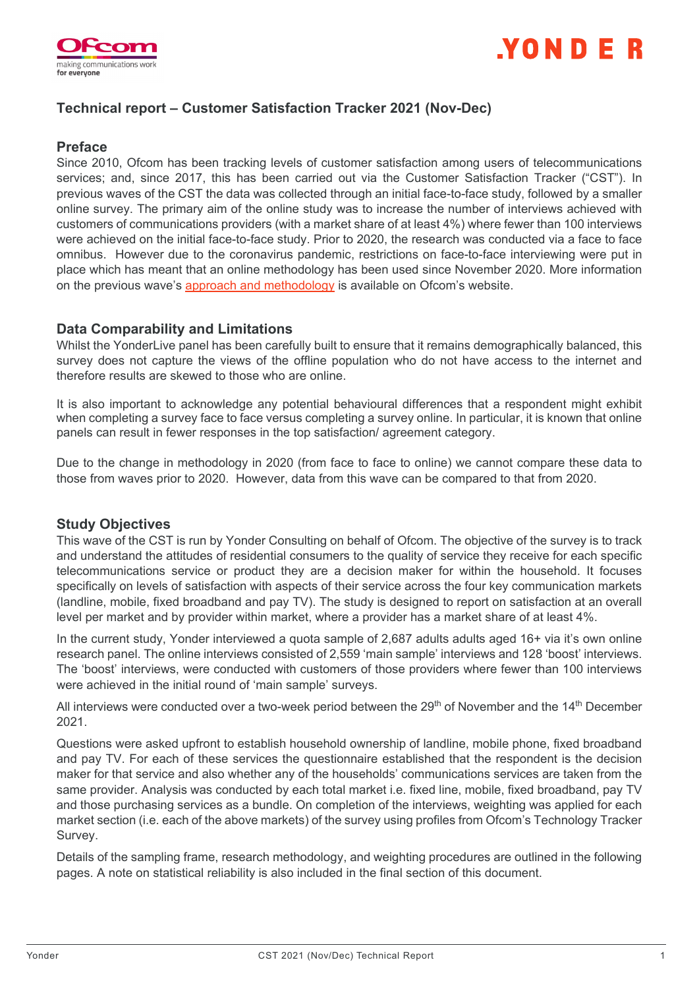



# **Technical report – Customer Satisfaction Tracker 2021 (Nov-Dec)**

### **Preface**

Since 2010, Ofcom has been tracking levels of customer satisfaction among users of telecommunications services; and, since 2017, this has been carried out via the Customer Satisfaction Tracker ("CST"). In previous waves of the CST the data was collected through an initial face-to-face study, followed by a smaller online survey. The primary aim of the online study was to increase the number of interviews achieved with customers of communications providers (with a market share of at least 4%) where fewer than 100 interviews were achieved on the initial face-to-face study. Prior to 2020, the research was conducted via a face to face omnibus. However due to the coronavirus pandemic, restrictions on face-to-face interviewing were put in place which has meant that an online methodology has been used since November 2020. More information on the previous wave's [approach and methodology](https://www.ofcom.org.uk/__data/assets/pdf_file/0027/193239/Customer-satisfaction-tracker-2020-technical-report.pdf) is available on Ofcom's website.

### **Data Comparability and Limitations**

Whilst the YonderLive panel has been carefully built to ensure that it remains demographically balanced, this survey does not capture the views of the offline population who do not have access to the internet and therefore results are skewed to those who are online.

It is also important to acknowledge any potential behavioural differences that a respondent might exhibit when completing a survey face to face versus completing a survey online. In particular, it is known that online panels can result in fewer responses in the top satisfaction/ agreement category.

Due to the change in methodology in 2020 (from face to face to online) we cannot compare these data to those from waves prior to 2020. However, data from this wave can be compared to that from 2020.

## **Study Objectives**

This wave of the CST is run by Yonder Consulting on behalf of Ofcom. The objective of the survey is to track and understand the attitudes of residential consumers to the quality of service they receive for each specific telecommunications service or product they are a decision maker for within the household. It focuses specifically on levels of satisfaction with aspects of their service across the four key communication markets (landline, mobile, fixed broadband and pay TV). The study is designed to report on satisfaction at an overall level per market and by provider within market, where a provider has a market share of at least 4%.

In the current study, Yonder interviewed a quota sample of 2,687 adults adults aged 16+ via it's own online research panel. The online interviews consisted of 2,559 'main sample' interviews and 128 'boost' interviews. The 'boost' interviews, were conducted with customers of those providers where fewer than 100 interviews were achieved in the initial round of 'main sample' surveys.

All interviews were conducted over a two-week period between the 29<sup>th</sup> of November and the 14<sup>th</sup> December 2021.

Questions were asked upfront to establish household ownership of landline, mobile phone, fixed broadband and pay TV. For each of these services the questionnaire established that the respondent is the decision maker for that service and also whether any of the households' communications services are taken from the same provider. Analysis was conducted by each total market i.e. fixed line, mobile, fixed broadband, pay TV and those purchasing services as a bundle. On completion of the interviews, weighting was applied for each market section (i.e. each of the above markets) of the survey using profiles from Ofcom's Technology Tracker Survey.

Details of the sampling frame, research methodology, and weighting procedures are outlined in the following pages. A note on statistical reliability is also included in the final section of this document.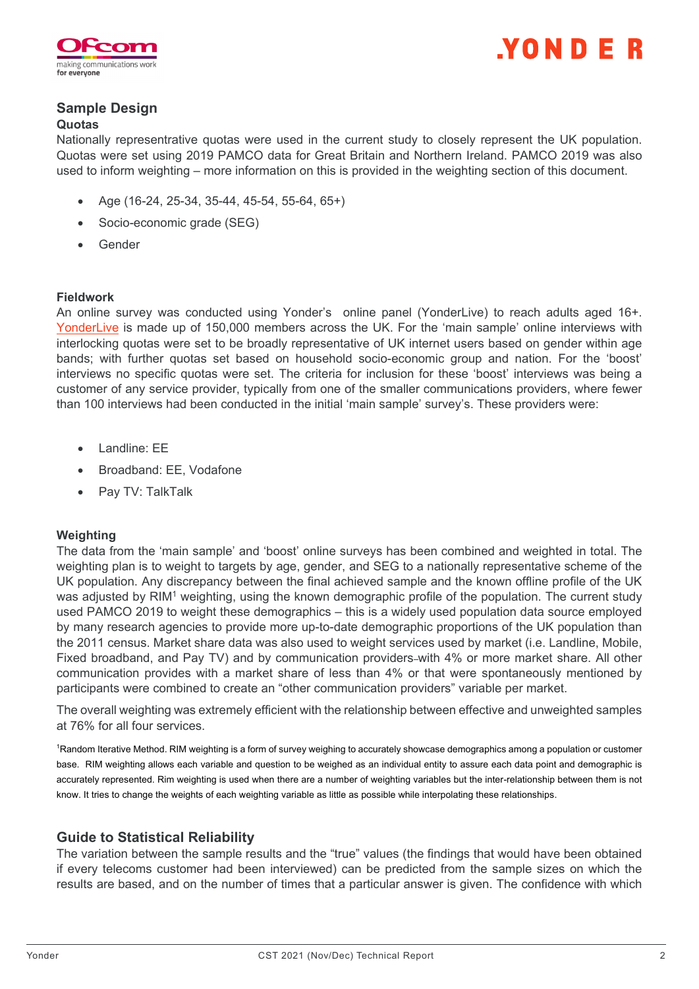



# **Sample Design**

### **Quotas**

Nationally representrative quotas were used in the current study to closely represent the UK population. Quotas were set using 2019 PAMCO data for Great Britain and Northern Ireland. PAMCO 2019 was also used to inform weighting – more information on this is provided in the weighting section of this document.

- Age (16-24, 25-34, 35-44, 45-54, 55-64, 65+)
- Socio-economic grade (SEG)
- Gender

#### **Fieldwork**

An online survey was conducted using Yonder's online panel (YonderLive) to reach adults aged 16+. [YonderLive](https://yonderdatasolutions.com/online-data-collection/) is made up of 150,000 members across the UK. For the 'main sample' online interviews with interlocking quotas were set to be broadly representative of UK internet users based on gender within age bands; with further quotas set based on household socio-economic group and nation. For the 'boost' interviews no specific quotas were set. The criteria for inclusion for these 'boost' interviews was being a customer of any service provider, typically from one of the smaller communications providers, where fewer than 100 interviews had been conducted in the initial 'main sample' survey's. These providers were:

- Landline: EE
- Broadband: EE, Vodafone
- Pay TV: TalkTalk

## **Weighting**

The data from the 'main sample' and 'boost' online surveys has been combined and weighted in total. The weighting plan is to weight to targets by age, gender, and SEG to a nationally representative scheme of the UK population. Any discrepancy between the final achieved sample and the known offline profile of the UK was adjusted by RIM<sup>1</sup> weighting, using the known demographic profile of the population. The current study used PAMCO 2019 to weight these demographics – this is a widely used population data source employed by many research agencies to provide more up-to-date demographic proportions of the UK population than the 2011 census. Market share data was also used to weight services used by market (i.e. Landline, Mobile, Fixed broadband, and Pay TV) and by communication providers-with 4% or more market share. All other communication provides with a market share of less than 4% or that were spontaneously mentioned by participants were combined to create an "other communication providers" variable per market.

The overall weighting was extremely efficient with the relationship between effective and unweighted samples at 76% for all four services.

1 Random Iterative Method. RIM weighting is a form of survey weighing to accurately showcase demographics among a population or customer base. RIM weighting allows each variable and question to be weighed as an individual entity to assure each data point and demographic is accurately represented. Rim weighting is used when there are a number of weighting variables but the inter-relationship between them is not know. It tries to change the weights of each weighting variable as little as possible while interpolating these relationships.

# **Guide to Statistical Reliability**

The variation between the sample results and the "true" values (the findings that would have been obtained if every telecoms customer had been interviewed) can be predicted from the sample sizes on which the results are based, and on the number of times that a particular answer is given. The confidence with which